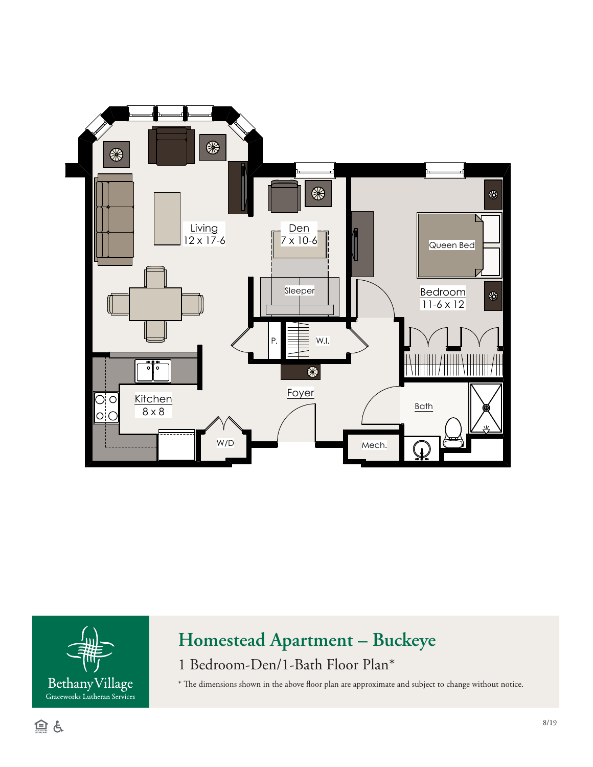



## **Homestead Apartment – Buckeye**

1 Bedroom-Den/1-Bath Floor Plan\*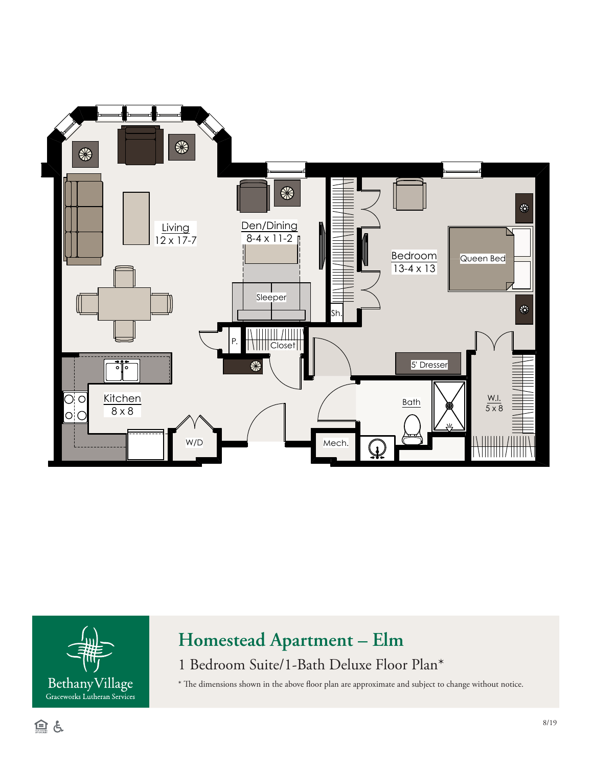



## **Homestead Apartment – Elm**

1 Bedroom Suite/1-Bath Deluxe Floor Plan\*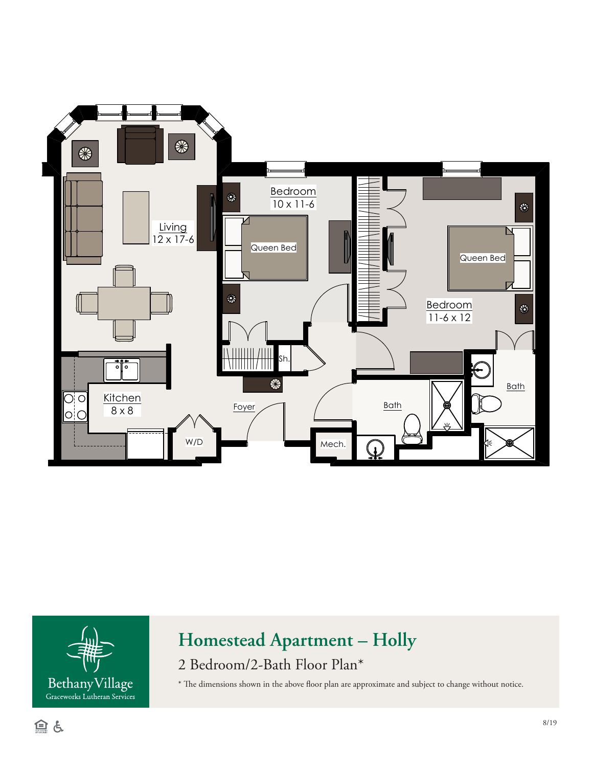



## **Homestead Apartment – Holly**

2 Bedroom/2-Bath Floor Plan\*